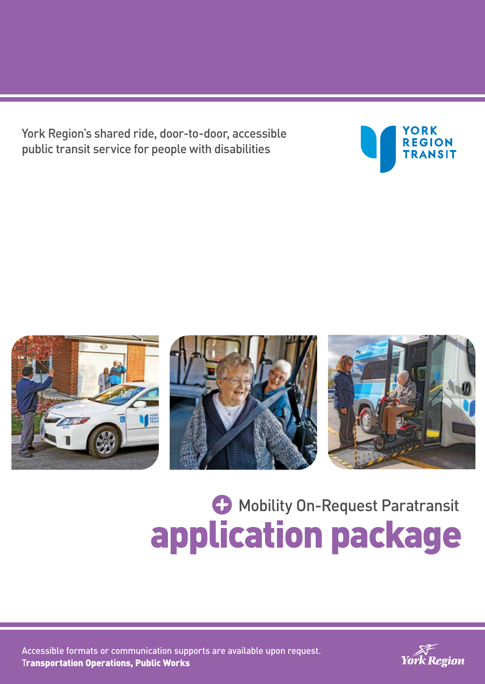York Region's shared ride, door-to-door, accessible public transit service for people with disabilities









# **C** Mobility On-Request Paratransit application package

Accessible formats or communication supports are available upon request. Transportation Operations, Public Works

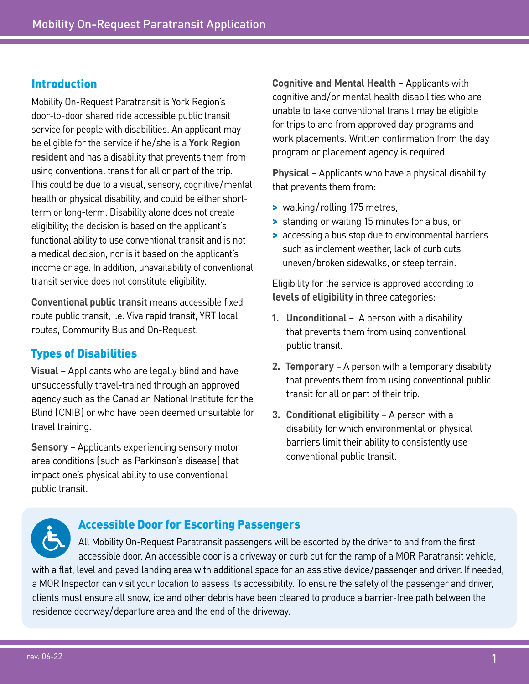### Introduction

Mobility On-Request Paratransit is York Region's door-to-door shared ride accessible public transit service for people with disabilities. An applicant may be eligible for the service if he/she is a **York Region resident** and has a disability that prevents them from using conventional transit for all or part of the trip. This could be due to a visual, sensory, cognitive/mental health or physical disability, and could be either shortterm or long-term. Disability alone does not create eligibility; the decision is based on the applicant's functional ability to use conventional transit and is not a medical decision, nor is it based on the applicant's income or age. In addition, unavailability of conventional transit service does not constitute eligibility.

**Conventional public transit** means accessible fixed route public transit, i.e. Viva rapid transit, YRT local routes, Community Bus and On-Request.

### Types of Disabilities

**Visual** – Applicants who are legally blind and have unsuccessfully travel-trained through an approved agency such as the Canadian National Institute for the Blind (CNIB) or who have been deemed unsuitable for travel training.

**Sensory** – Applicants experiencing sensory motor area conditions (such as Parkinson's disease) that impact one's physical ability to use conventional public transit.

**Cognitive and Mental Health** – Applicants with cognitive and/or mental health disabilities who are unable to take conventional transit may be eligible for trips to and from approved day programs and work placements. Written confirmation from the day program or placement agency is required.

**Physical** – Applicants who have a physical disability that prevents them from:

- > walking/rolling 175 metres,
- > standing or waiting 15 minutes for a bus, or
- > accessing a bus stop due to environmental barriers such as inclement weather, lack of curb cuts, uneven/broken sidewalks, or steep terrain.

Eligibility for the service is approved according to **levels of eligibility** in three categories:

- **1. Unconditional** A person with a disability that prevents them from using conventional public transit.
- **2. Temporary** A person with a temporary disability that prevents them from using conventional public transit for all or part of their trip.
- **3. Conditional eligibility** A person with a disability for which environmental or physical barriers limit their ability to consistently use conventional public transit.

### Accessible Door for Escorting Passengers

All Mobility On-Request Paratransit passengers will be escorted by the driver to and from the first accessible door. An accessible door is a driveway or curb cut for the ramp of a MOR Paratransit vehicle, with a flat, level and paved landing area with additional space for an assistive device/passenger and driver. If needed, a MOR Inspector can visit your location to assess its accessibility. To ensure the safety of the passenger and driver, clients must ensure all snow, ice and other debris have been cleared to produce a barrier-free path between the residence doorway/departure area and the end of the driveway.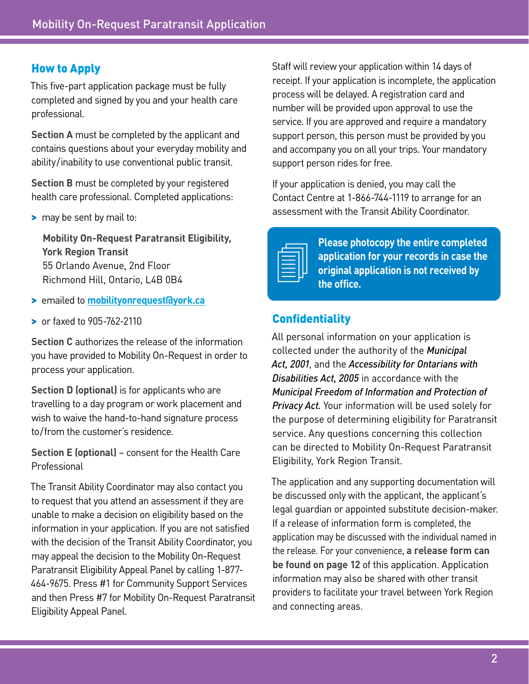### How to Apply

This five-part application package must be fully completed and signed by you and your health care professional.

**Section A** must be completed by the applicant and contains questions about your everyday mobility and ability/inability to use conventional public transit.

**Section B** must be completed by your registered health care professional. Completed applications:

> may be sent by mail to:

**Mobility On-Request Paratransit Eligibility, York Region Transit**  55 Orlando Avenue, 2nd Floor Richmond Hill, Ontario, L4B 0B4

- > emailed to **[mobilityonrequest@york.ca](mailto:mobilityonrequest%40york.ca?subject=)**
- > or faxed to 905-762-2110

**Section C** authorizes the release of the information you have provided to Mobility On-Request in order to process your application.

**Section D (optional)** is for applicants who are travelling to a day program or work placement and wish to waive the hand-to-hand signature process to/from the customer's residence.

**Section E (optional)** – consent for the Health Care Professional

The Transit Ability Coordinator may also contact you to request that you attend an assessment if they are unable to make a decision on eligibility based on the information in your application. If you are not satisfied with the decision of the Transit Ability Coordinator, you may appeal the decision to the Mobility On-Request Paratransit Eligibility Appeal Panel by calling 1-877- 464-9675. Press #1 for Community Support Services and then Press #7 for Mobility On-Request Paratransit Eligibility Appeal Panel.

Staff will review your application within 14 days of receipt. If your application is incomplete, the application process will be delayed. A registration card and number will be provided upon approval to use the service. If you are approved and require a mandatory support person, this person must be provided by you and accompany you on all your trips. Your mandatory support person rides for free.

If your application is denied, you may call the Contact Centre at 1-866-744-1119 to arrange for an assessment with the Transit Ability Coordinator.

|  | the control of the control of the control of the control of the control of the control of |  |
|--|-------------------------------------------------------------------------------------------|--|
|  |                                                                                           |  |
|  |                                                                                           |  |
|  |                                                                                           |  |

**Please photocopy the entire completed application for your records in case the original application is not received by the office.**

### **Confidentiality**

All personal information on your application is collected under the authority of the *Municipal Act, 2001*, and the *Accessibility for Ontarians with Disabilities Act, 2005* in accordance with the *Municipal Freedom of Information and Protection of Privacy Act.* Your information will be used solely for the purpose of determining eligibility for Paratransit service. Any questions concerning this collection can be directed to Mobility On-Request Paratransit Eligibility, York Region Transit.

The application and any supporting documentation will be discussed only with the applicant, the applicant's legal guardian or appointed substitute decision-maker. If a release of information form is completed, the application may be discussed with the individual named in the release. For your convenience, **a release form can be found on page 12** of this application. Application information may also be shared with other transit providers to facilitate your travel between York Region and connecting areas.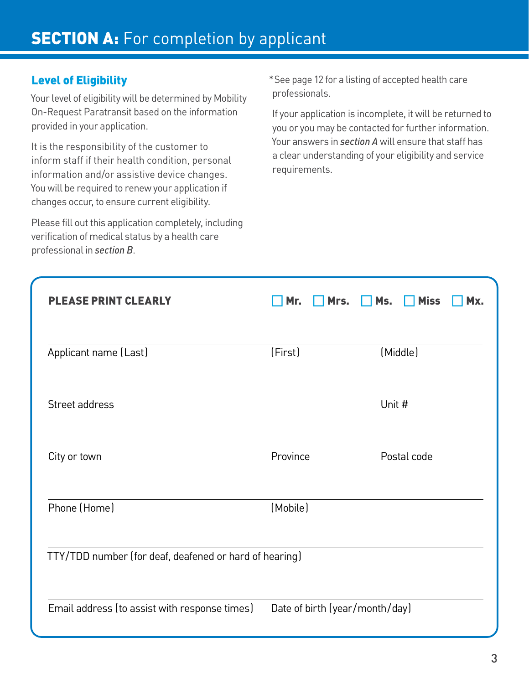### Level of Eligibility

Your level of eligibility will be determined by Mobility On-Request Paratransit based on the information provided in your application.

It is the responsibility of the customer to inform staff if their health condition, personal information and/or assistive device changes. You will be required to renew your application if changes occur, to ensure current eligibility.

Please fill out this application completely, including verification of medical status by a health care professional in *section B*.

\*See page 12 for a listing of accepted health care professionals.

If your application is incomplete, it will be returned to you or you may be contacted for further information. Your answers in *section A* will ensure that staff has a clear understanding of your eligibility and service requirements.

| <b>PLEASE PRINT CLEARLY</b>                            | Mrs.<br>Mr.                    | <b>Miss</b><br>Ms.<br>Mx. |
|--------------------------------------------------------|--------------------------------|---------------------------|
| Applicant name (Last)                                  | (First)                        | (Middle)                  |
| Street address                                         |                                | Unit #                    |
| City or town                                           | Province                       | Postal code               |
| Phone (Home)                                           | (Mobile)                       |                           |
| TTY/TDD number (for deaf, deafened or hard of hearing) |                                |                           |
| Email address (to assist with response times)          | Date of birth (year/month/day) |                           |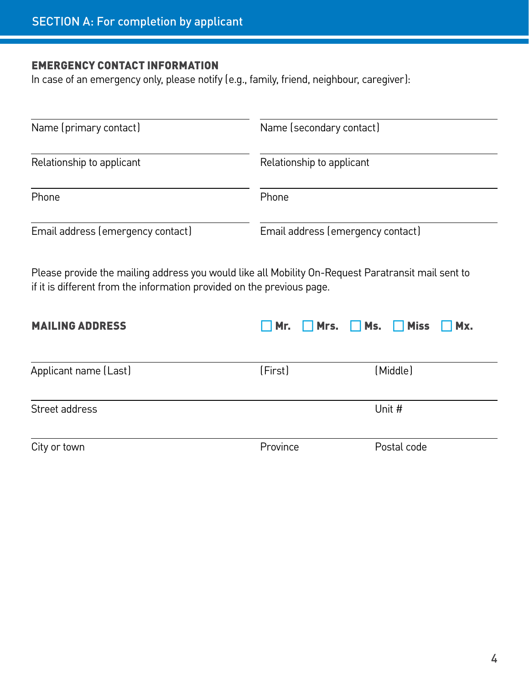### EMERGENCY CONTACT INFORMATION

In case of an emergency only, please notify (e.g., family, friend, neighbour, caregiver):

| Name (primary contact)            | Name (secondary contact)          |
|-----------------------------------|-----------------------------------|
| Relationship to applicant         | Relationship to applicant         |
| Phone                             | Phone                             |
| Email address (emergency contact) | Email address (emergency contact) |

Please provide the mailing address you would like all Mobility On-Request Paratransit mail sent to if it is different from the information provided on the previous page.

| <b>MAILING ADDRESS</b> | $\Box$ Mr. $\Box$ Mrs. $\Box$ Ms. $\Box$ Miss $\Box$ Mx. |             |
|------------------------|----------------------------------------------------------|-------------|
|                        |                                                          |             |
| Applicant name (Last)  | (First)                                                  | (Middle)    |
| Street address         |                                                          | Unit #      |
| City or town           | Province                                                 | Postal code |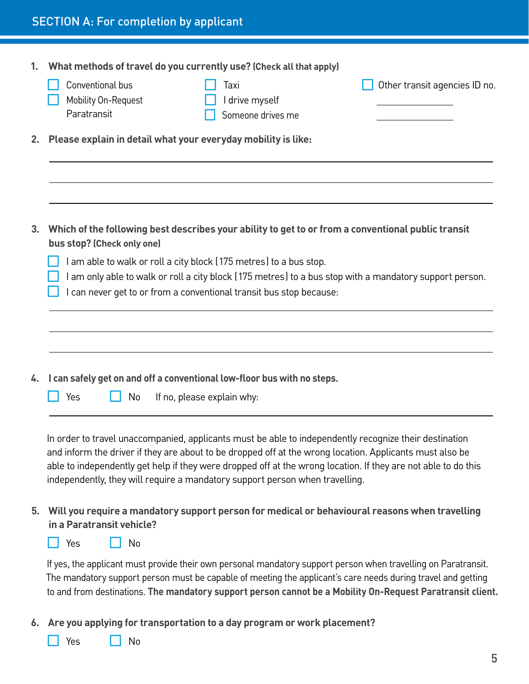| 1. | What methods of travel do you currently use? (Check all that apply)                                                                                                                                                        |
|----|----------------------------------------------------------------------------------------------------------------------------------------------------------------------------------------------------------------------------|
|    | Conventional bus<br>Other transit agencies ID no.<br>Taxi<br>Mobility On-Request<br>I drive myself<br>Paratransit<br>Someone drives me                                                                                     |
|    |                                                                                                                                                                                                                            |
| 2. | Please explain in detail what your everyday mobility is like:                                                                                                                                                              |
|    |                                                                                                                                                                                                                            |
|    |                                                                                                                                                                                                                            |
|    |                                                                                                                                                                                                                            |
| 3. | Which of the following best describes your ability to get to or from a conventional public transit                                                                                                                         |
|    | bus stop? (Check only one)                                                                                                                                                                                                 |
|    | I am able to walk or roll a city block (175 metres) to a bus stop.<br>I am only able to walk or roll a city block (175 metres) to a bus stop with a mandatory support person.                                              |
|    | can never get to or from a conventional transit bus stop because:                                                                                                                                                          |
|    |                                                                                                                                                                                                                            |
|    |                                                                                                                                                                                                                            |
|    |                                                                                                                                                                                                                            |
| 4. | I can safely get on and off a conventional low-floor bus with no steps.                                                                                                                                                    |
|    | Yes<br>If no, please explain why:<br>No                                                                                                                                                                                    |
|    |                                                                                                                                                                                                                            |
|    |                                                                                                                                                                                                                            |
|    | In order to travel unaccompanied, applicants must be able to independently recognize their destination<br>and inform the driver if they are about to be dropped off at the wrong location. Applicants must also be         |
|    | able to independently get help if they were dropped off at the wrong location. If they are not able to do this                                                                                                             |
|    | independently, they will require a mandatory support person when travelling.                                                                                                                                               |
| 5. | Will you require a mandatory support person for medical or behavioural reasons when travelling                                                                                                                             |
|    | in a Paratransit vehicle?                                                                                                                                                                                                  |
|    | Yes<br>No                                                                                                                                                                                                                  |
|    | If yes, the applicant must provide their own personal mandatory support person when travelling on Paratransit.                                                                                                             |
|    | The mandatory support person must be capable of meeting the applicant's care needs during travel and getting<br>to and from destinations. The mandatory support person cannot be a Mobility On-Request Paratransit client. |
|    |                                                                                                                                                                                                                            |

**6. Are you applying for transportation to a day program or work placement?** 

□ Yes □ No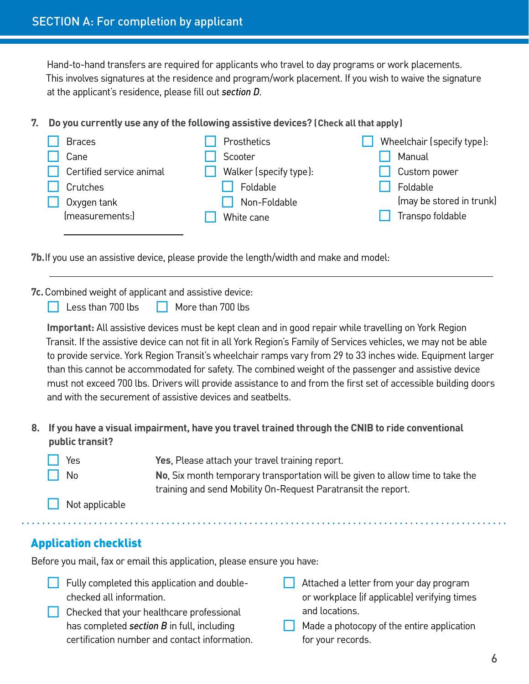Hand-to-hand transfers are required for applicants who travel to day programs or work placements. This involves signatures at the residence and program/work placement. If you wish to waive the signature at the applicant's residence, please fill out *section D*.

**7. Do you currently use any of the following assistive devices? (Check all that apply)**

| <b>Braces</b>            | Prosthetics            | Wheelchair (specify type): |
|--------------------------|------------------------|----------------------------|
| Cane                     | Scooter                | Manual                     |
| Certified service animal | Walker (specify type): | Custom power               |
| Crutches                 | Foldable               | Foldable                   |
| Oxygen tank              | Non-Foldable           | (may be stored in trunk)   |
| (measurements:)          | White cane             | Transpo foldable           |
|                          |                        |                            |

**7b.**If you use an assistive device, please provide the length/width and make and model:

**7c.**Combined weight of applicant and assistive device:

Less than 700 lbs  $\Box$  More than 700 lbs

**Important:** All assistive devices must be kept clean and in good repair while travelling on York Region Transit. If the assistive device can not fit in all York Region's Family of Services vehicles, we may not be able to provide service. York Region Transit's wheelchair ramps vary from 29 to 33 inches wide. Equipment larger than this cannot be accommodated for safety. The combined weight of the passenger and assistive device must not exceed 700 lbs. Drivers will provide assistance to and from the first set of accessible building doors and with the securement of assistive devices and seatbelts.

**8. If you have a visual impairment, have you travel trained through the CNIB to ride conventional public transit?**

| $\Box$ Yes | Yes, Please attach your travel training report. |  |
|------------|-------------------------------------------------|--|
|            |                                                 |  |

No **No.** Six month temporary transportation will be given to allow time to take the training and send Mobility On-Request Paratransit the report.

Not applicable

### Application checklist

Before you mail, fax or email this application, please ensure you have:

- $\Box$  Fully completed this application and doublechecked all information.
- $\Box$  Checked that your healthcare professional has completed *section B* in full, including certification number and contact information.
- Attached a letter from your day program or workplace (if applicable) verifying times and locations.
- Made a photocopy of the entire application for your records.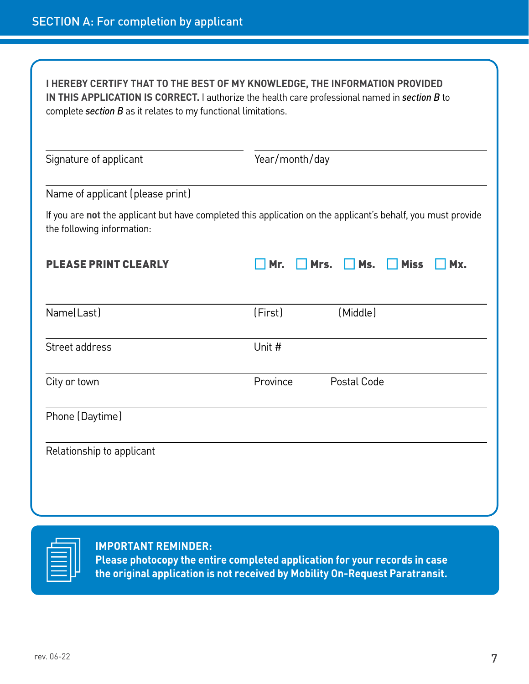| <b>I HEREBY CERTIFY THAT TO THE BEST OF MY KNOWLEDGE, THE INFORMATION PROVIDED</b><br>complete section $B$ as it relates to my functional limitations. | IN THIS APPLICATION IS CORRECT. I authorize the health care professional named in section B to               |
|--------------------------------------------------------------------------------------------------------------------------------------------------------|--------------------------------------------------------------------------------------------------------------|
| Signature of applicant                                                                                                                                 | Year/month/day                                                                                               |
| Name of applicant (please print)                                                                                                                       |                                                                                                              |
| the following information:                                                                                                                             | If you are not the applicant but have completed this application on the applicant's behalf, you must provide |
| <b>PLEASE PRINT CLEARLY</b>                                                                                                                            | Mr.<br>Ms.<br><b>Miss</b><br>Mx.<br>Mrs.                                                                     |
| Name(Last)                                                                                                                                             | (Middle)<br>(First)                                                                                          |
| Street address                                                                                                                                         | Unit #                                                                                                       |
| City or town                                                                                                                                           | Province<br>Postal Code                                                                                      |
| Phone (Daytime)                                                                                                                                        |                                                                                                              |
| Relationship to applicant                                                                                                                              |                                                                                                              |
|                                                                                                                                                        |                                                                                                              |
|                                                                                                                                                        |                                                                                                              |

**IMPORTANT REMINDER:** 

**Please photocopy the entire completed application for your records in case the original application is not received by Mobility On-Request Paratransit.**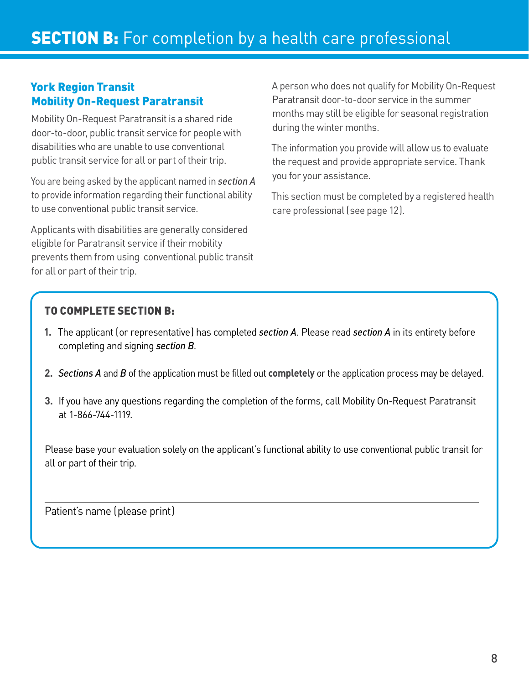## **SECTION B:** For completion by a health care professional

### York Region Transit Mobility On-Request Paratransit

Mobility On-Request Paratransit is a shared ride door-to-door, public transit service for people with disabilities who are unable to use conventional public transit service for all or part of their trip.

You are being asked by the applicant named in *section A* to provide information regarding their functional ability to use conventional public transit service.

Applicants with disabilities are generally considered eligible for Paratransit service if their mobility prevents them from using conventional public transit for all or part of their trip.

A person who does not qualify for Mobility On-Request Paratransit door-to-door service in the summer months may still be eligible for seasonal registration during the winter months.

The information you provide will allow us to evaluate the request and provide appropriate service. Thank you for your assistance.

This section must be completed by a registered health care professional (see page 12).

### TO COMPLETE SECTION B:

- **1.** The applicant (or representative) has completed *section A*. Please read *section A* in its entirety before completing and signing *section B*.
- **2.** *Sections A* and *B* of the application must be filled out **completely** or the application process may be delayed.
- **3.** If you have any questions regarding the completion of the forms, call Mobility On-Request Paratransit at 1-866-744-1119.

Please base your evaluation solely on the applicant's functional ability to use conventional public transit for all or part of their trip.

 $\overline{\phantom{0}}$ 

Patient's name (please print)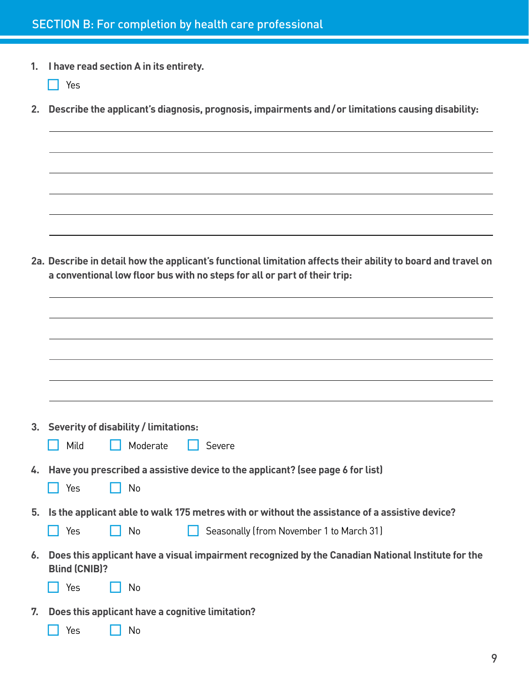- **1. I have read section A in its entirety.**  ¨ Yes **2. Describe the applicant's diagnosis, prognosis, impairments and/or limitations causing disability: 2a. Describe in detail how the applicant's functional limitation affects their ability to board and travel on a conventional low floor bus with no steps for all or part of their trip: 3. Severity of disability / limitations:** ■ Mild ■ Moderate ■ Severe **4. Have you prescribed a assistive device to the applicant? (see page 6 for list)** │ │ Yes │ │ No **5. Is the applicant able to walk 175 metres with or without the assistance of a assistive device?** ■ Yes △ No △ Seasonally (from November 1 to March 31) **6. Does this applicant have a visual impairment recognized by the Canadian National Institute for the Blind (CNIB)?** ¨ Yes ¨ No
- **7. Does this applicant have a cognitive limitation?**
	- ¨ Yes ¨ No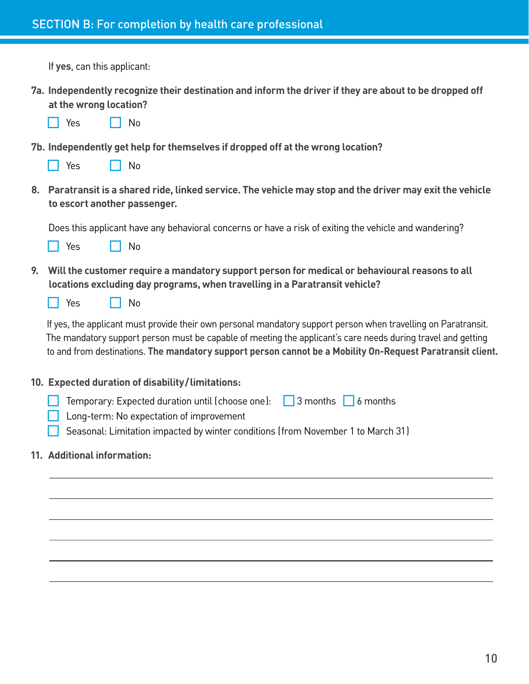If **yes**, can this applicant:

|    | 7a. Independently recognize their destination and inform the driver if they are about to be dropped off<br>at the wrong location?<br>Yes<br>No                                                                                                                                                                                               |
|----|----------------------------------------------------------------------------------------------------------------------------------------------------------------------------------------------------------------------------------------------------------------------------------------------------------------------------------------------|
|    | 7b. Independently get help for themselves if dropped off at the wrong location?<br>Yes<br>No                                                                                                                                                                                                                                                 |
|    | 8. Paratransit is a shared ride, linked service. The vehicle may stop and the driver may exit the vehicle<br>to escort another passenger.                                                                                                                                                                                                    |
|    | Does this applicant have any behavioral concerns or have a risk of exiting the vehicle and wandering?<br>Yes<br>No                                                                                                                                                                                                                           |
| 9. | Will the customer require a mandatory support person for medical or behavioural reasons to all<br>locations excluding day programs, when travelling in a Paratransit vehicle?<br>Yes<br>No                                                                                                                                                   |
|    | If yes, the applicant must provide their own personal mandatory support person when travelling on Paratransit.<br>The mandatory support person must be capable of meeting the applicant's care needs during travel and getting<br>to and from destinations. The mandatory support person cannot be a Mobility On-Request Paratransit client. |
|    | 10. Expected duration of disability/limitations:                                                                                                                                                                                                                                                                                             |
|    | Temporary: Expected duration until (choose one): $\Box$ 3 months $\Box$ 6 months<br>Long-term: No expectation of improvement<br>Seasonal: Limitation impacted by winter conditions (from November 1 to March 31)                                                                                                                             |
|    | 11. Additional information:                                                                                                                                                                                                                                                                                                                  |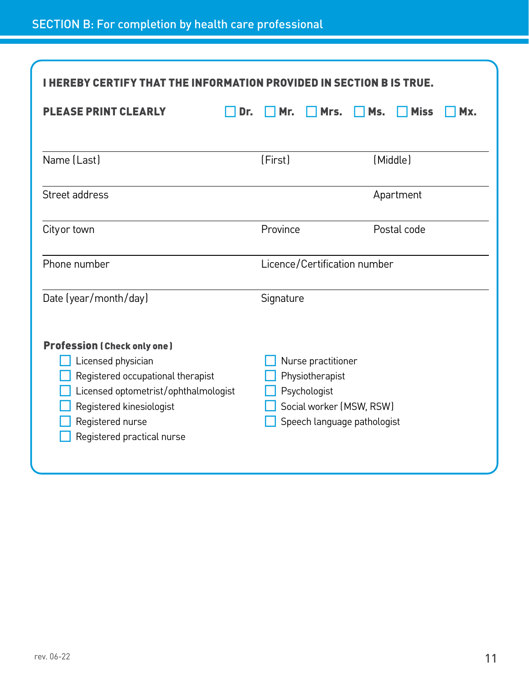### SECTION B: For completion by health care professional

| I HEREBY CERTIFY THAT THE INFORMATION PROVIDED IN SECTION B IS TRUE.                                                                                                                                                |                                                                                                                  |                           |  |  |
|---------------------------------------------------------------------------------------------------------------------------------------------------------------------------------------------------------------------|------------------------------------------------------------------------------------------------------------------|---------------------------|--|--|
| <b>PLEASE PRINT CLEARLY</b><br>Dr.                                                                                                                                                                                  | Mr.<br>Mrs.                                                                                                      | Ms.<br><b>Miss</b><br>Mx. |  |  |
| Name (Last)                                                                                                                                                                                                         | (First)                                                                                                          | (Middle)                  |  |  |
| Street address                                                                                                                                                                                                      |                                                                                                                  | Apartment                 |  |  |
| City or town                                                                                                                                                                                                        | Province                                                                                                         | Postal code               |  |  |
| Phone number                                                                                                                                                                                                        | Licence/Certification number                                                                                     |                           |  |  |
| Date (year/month/day)                                                                                                                                                                                               | Signature                                                                                                        |                           |  |  |
| <b>Profession (Check only one)</b><br>Licensed physician<br>Registered occupational therapist<br>Licensed optometrist/ophthalmologist<br>Registered kinesiologist<br>Registered nurse<br>Registered practical nurse | Nurse practitioner<br>Physiotherapist<br>Psychologist<br>Social worker (MSW, RSW)<br>Speech language pathologist |                           |  |  |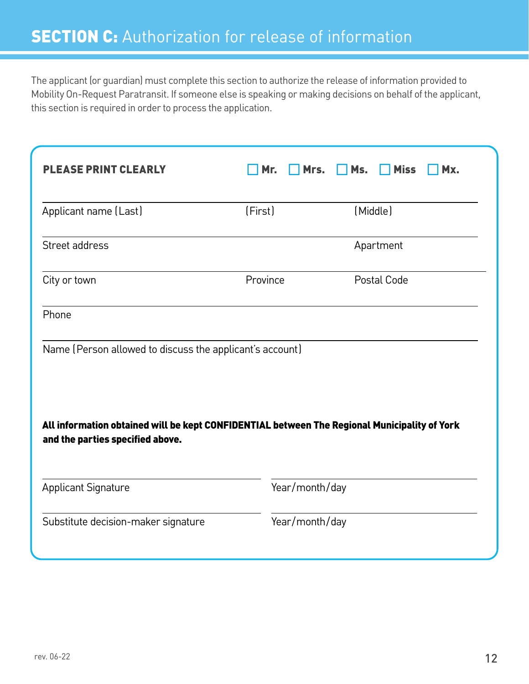The applicant (or guardian) must complete this section to authorize the release of information provided to Mobility On-Request Paratransit. If someone else is speaking or making decisions on behalf of the applicant, this section is required in order to process the application.

| <b>PLEASE PRINT CLEARLY</b>                                                                                                      | Mr.      | Mrs.           | Ms. | <b>Miss</b> | Mx. |
|----------------------------------------------------------------------------------------------------------------------------------|----------|----------------|-----|-------------|-----|
| Applicant name (Last)                                                                                                            | (First)  |                |     | (Middle)    |     |
| Street address                                                                                                                   |          |                |     | Apartment   |     |
| City or town                                                                                                                     | Province |                |     | Postal Code |     |
| Phone                                                                                                                            |          |                |     |             |     |
| Name (Person allowed to discuss the applicant's account)                                                                         |          |                |     |             |     |
| All information obtained will be kept CONFIDENTIAL between The Regional Municipality of York<br>and the parties specified above. |          |                |     |             |     |
| <b>Applicant Signature</b>                                                                                                       |          | Year/month/day |     |             |     |
| Substitute decision-maker signature                                                                                              |          | Year/month/day |     |             |     |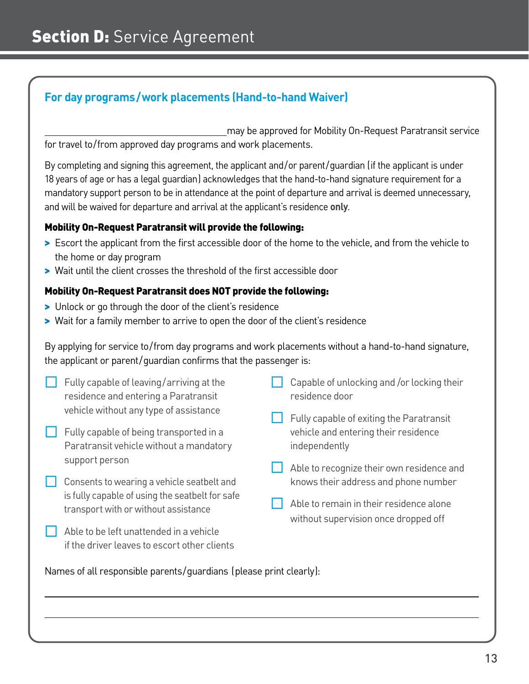### **For day programs/work placements (Hand-to-hand Waiver)**

may be approved for Mobility On-Request Paratransit service for travel to/from approved day programs and work placements.

By completing and signing this agreement, the applicant and/or parent/guardian (if the applicant is under 18 years of age or has a legal guardian) acknowledges that the hand-to-hand signature requirement for a mandatory support person to be in attendance at the point of departure and arrival is deemed unnecessary, and will be waived for departure and arrival at the applicant's residence **only**.

### Mobility On-Request Paratransit will provide the following:

- > Escort the applicant from the first accessible door of the home to the vehicle, and from the vehicle to the home or day program
- > Wait until the client crosses the threshold of the first accessible door

### Mobility On-Request Paratransit does NOT provide the following:

- > Unlock or go through the door of the client's residence
- > Wait for a family member to arrive to open the door of the client's residence

By applying for service to/from day programs and work placements without a hand-to-hand signature, the applicant or parent/guardian confirms that the passenger is:

| Fully capable of leaving/arriving at the<br>residence and entering a Paratransit        | Capable of unlocking and /or locking their<br>residence door                      |
|-----------------------------------------------------------------------------------------|-----------------------------------------------------------------------------------|
| vehicle without any type of assistance                                                  | Fully capable of exiting the Paratransit                                          |
| Fully capable of being transported in a                                                 | vehicle and entering their residence                                              |
| Paratransit vehicle without a mandatory                                                 | independently                                                                     |
| support person                                                                          |                                                                                   |
| Consents to wearing a vehicle seatbelt and                                              | Able to recognize their own residence and<br>knows their address and phone number |
| is fully capable of using the seatbelt for safe<br>transport with or without assistance | Able to remain in their residence alone<br>without supervision once dropped off   |
| Able to be left unattended in a vehicle                                                 |                                                                                   |
| if the driver leaves to escort other clients                                            |                                                                                   |

Names of all responsible parents/guardians (please print clearly):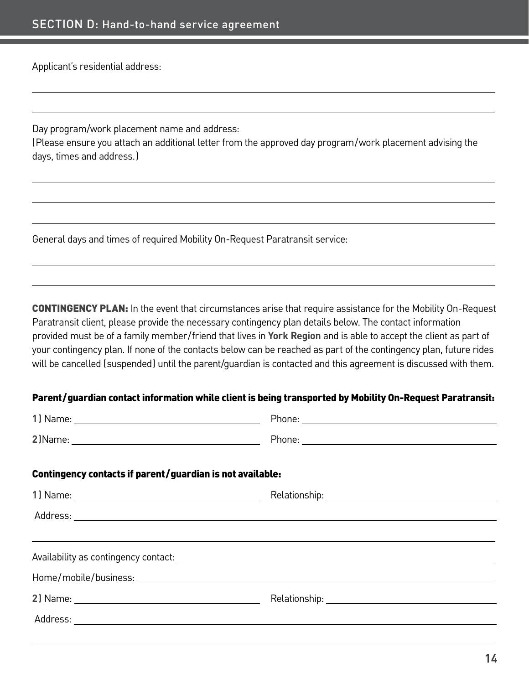Applicant's residential address:

Day program/work placement name and address:

(Please ensure you attach an additional letter from the approved day program/work placement advising the days, times and address.)

General days and times of required Mobility On-Request Paratransit service:

CONTINGENCY PLAN: In the event that circumstances arise that require assistance for the Mobility On-Request Paratransit client, please provide the necessary contingency plan details below. The contact information provided must be of a family member/friend that lives in **York Region** and is able to accept the client as part of your contingency plan. If none of the contacts below can be reached as part of the contingency plan, future rides will be cancelled (suspended) until the parent/guardian is contacted and this agreement is discussed with them.

#### Parent/guardian contact information while client is being transported by Mobility On-Request Paratransit:

|                                                           | Phone: <u>Contract Communication</u> |
|-----------------------------------------------------------|--------------------------------------|
| Contingency contacts if parent/guardian is not available: |                                      |
|                                                           |                                      |
|                                                           |                                      |
|                                                           |                                      |
|                                                           |                                      |
|                                                           |                                      |
|                                                           |                                      |
|                                                           |                                      |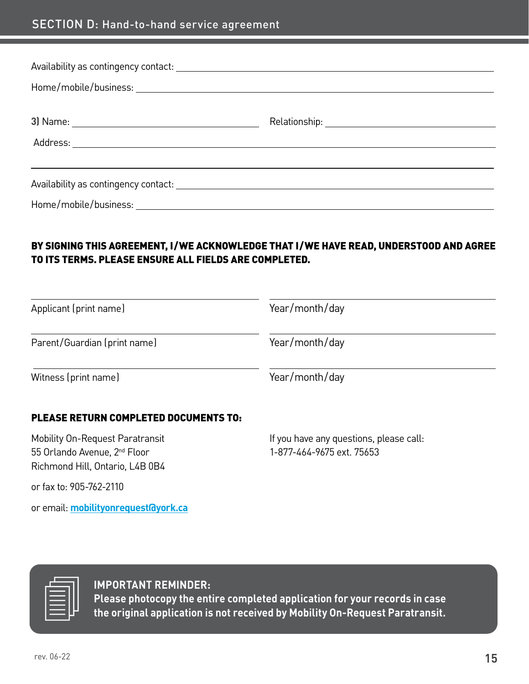### SECTION D: Hand-to-hand service agreement

### BY SIGNING THIS AGREEMENT, I/WE ACKNOWLEDGE THAT I/WE HAVE READ, UNDERSTOOD AND AGREE TO ITS TERMS. PLEASE ENSURE ALL FIELDS ARE COMPLETED.

| Applicant (print name)                                                                                         | Year/month/day                                                       |  |
|----------------------------------------------------------------------------------------------------------------|----------------------------------------------------------------------|--|
| Parent/Guardian (print name)                                                                                   | Year/month/day                                                       |  |
| Witness (print name)                                                                                           | Year/month/day                                                       |  |
| <b>PLEASE RETURN COMPLETED DOCUMENTS TO:</b>                                                                   |                                                                      |  |
| Mobility On-Request Paratransit<br>55 Orlando Avenue, 2 <sup>nd</sup> Floor<br>Richmond Hill, Ontario, L4B 0B4 | If you have any questions, please call:<br>1-877-464-9675 ext. 75653 |  |

or fax to: 905-762-2110

or email: **[mobilityonrequest@york.ca](mailto:mobilityonrequest%40york.ca?subject=)**

### **IMPORTANT REMINDER:**

**Please photocopy the entire completed application for your records in case the original application is not received by Mobility On-Request Paratransit.**